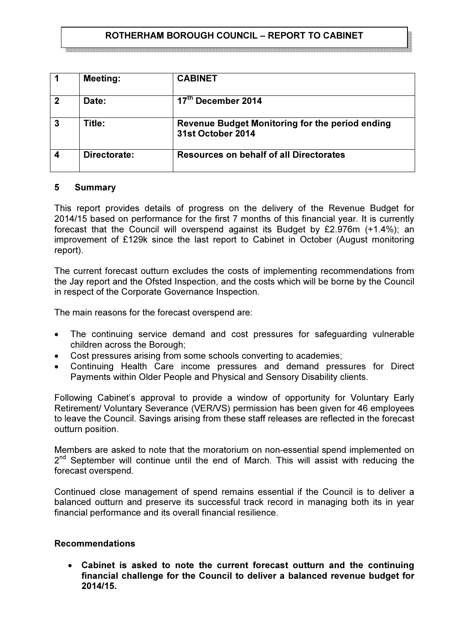# ROTHERHAM BOROUGH COUNCIL – REPORT TO CABINET

|              | <b>Meeting:</b> | <b>CABINET</b>                                                       |
|--------------|-----------------|----------------------------------------------------------------------|
| $\mathbf{2}$ | Date:           | 17 <sup>th</sup> December 2014                                       |
| 3            | Title:          | Revenue Budget Monitoring for the period ending<br>31st October 2014 |
| 4            | Directorate:    | <b>Resources on behalf of all Directorates</b>                       |

### 5 Summary

This report provides details of progress on the delivery of the Revenue Budget for 2014/15 based on performance for the first 7 months of this financial year. It is currently forecast that the Council will overspend against its Budget by £2.976m (+1.4%); an improvement of £129k since the last report to Cabinet in October (August monitoring report).

The current forecast outturn excludes the costs of implementing recommendations from the Jay report and the Ofsted Inspection, and the costs which will be borne by the Council in respect of the Corporate Governance Inspection.

The main reasons for the forecast overspend are:

- The continuing service demand and cost pressures for safeguarding vulnerable children across the Borough;
- Cost pressures arising from some schools converting to academies;
- Continuing Health Care income pressures and demand pressures for Direct Payments within Older People and Physical and Sensory Disability clients.

Following Cabinet's approval to provide a window of opportunity for Voluntary Early Retirement/ Voluntary Severance (VER/VS) permission has been given for 46 employees to leave the Council. Savings arising from these staff releases are reflected in the forecast outturn position.

Members are asked to note that the moratorium on non-essential spend implemented on 2<sup>nd</sup> September will continue until the end of March. This will assist with reducing the forecast overspend.

Continued close management of spend remains essential if the Council is to deliver a balanced outturn and preserve its successful track record in managing both its in year financial performance and its overall financial resilience.

### Recommendations

Cabinet is asked to note the current forecast outturn and the continuing financial challenge for the Council to deliver a balanced revenue budget for 2014/15.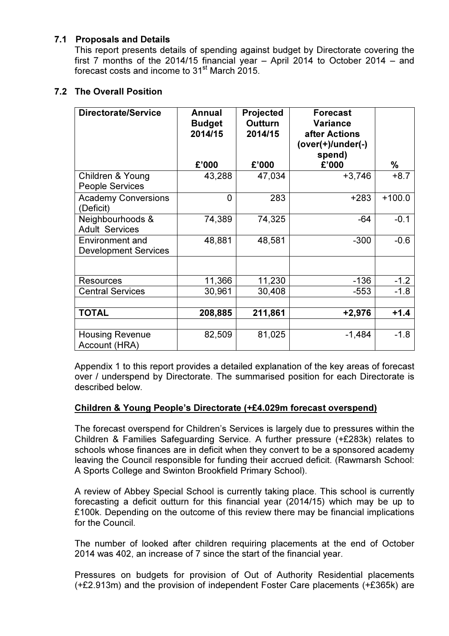### 7.1 Proposals and Details

This report presents details of spending against budget by Directorate covering the first 7 months of the 2014/15 financial year – April 2014 to October 2014 – and forecast costs and income to 31<sup>st</sup> March 2015.

# 7.2 The Overall Position

| <b>Directorate/Service</b>                            | Annual<br><b>Budget</b><br>2014/15<br>£'000 | Projected<br><b>Outturn</b><br>2014/15<br>£'000 | <b>Forecast</b><br><b>Variance</b><br>after Actions<br>$(over(+)/under(-))$<br>spend)<br>£'000 | %        |
|-------------------------------------------------------|---------------------------------------------|-------------------------------------------------|------------------------------------------------------------------------------------------------|----------|
| Children & Young<br><b>People Services</b>            | 43,288                                      | 47,034                                          | $+3,746$                                                                                       | $+8.7$   |
| <b>Academy Conversions</b><br>(Deficit)               | $\overline{0}$                              | 283                                             | $+283$                                                                                         | $+100.0$ |
| Neighbourhoods &<br><b>Adult Services</b>             | 74,389                                      | 74,325                                          | $-64$                                                                                          | $-0.1$   |
| <b>Environment and</b><br><b>Development Services</b> | 48,881                                      | 48,581                                          | $-300$                                                                                         | $-0.6$   |
|                                                       |                                             |                                                 |                                                                                                |          |
| <b>Resources</b>                                      | 11,366                                      | 11,230                                          | $-136$                                                                                         | $-1.2$   |
| <b>Central Services</b>                               | 30,961                                      | 30,408                                          | $-553$                                                                                         | $-1.8$   |
|                                                       |                                             |                                                 |                                                                                                |          |
| <b>TOTAL</b>                                          | 208,885                                     | 211,861                                         | $+2,976$                                                                                       | $+1.4$   |
| <b>Housing Revenue</b><br>Account (HRA)               | 82,509                                      | 81,025                                          | $-1,484$                                                                                       | $-1.8$   |

 Appendix 1 to this report provides a detailed explanation of the key areas of forecast over / underspend by Directorate. The summarised position for each Directorate is described below.

# Children & Young People's Directorate (+£4.029m forecast overspend)

The forecast overspend for Children's Services is largely due to pressures within the Children & Families Safeguarding Service. A further pressure (+£283k) relates to schools whose finances are in deficit when they convert to be a sponsored academy leaving the Council responsible for funding their accrued deficit. (Rawmarsh School: A Sports College and Swinton Brookfield Primary School).

A review of Abbey Special School is currently taking place. This school is currently forecasting a deficit outturn for this financial year (2014/15) which may be up to £100k. Depending on the outcome of this review there may be financial implications for the Council.

The number of looked after children requiring placements at the end of October 2014 was 402, an increase of 7 since the start of the financial year.

Pressures on budgets for provision of Out of Authority Residential placements (+£2.913m) and the provision of independent Foster Care placements (+£365k) are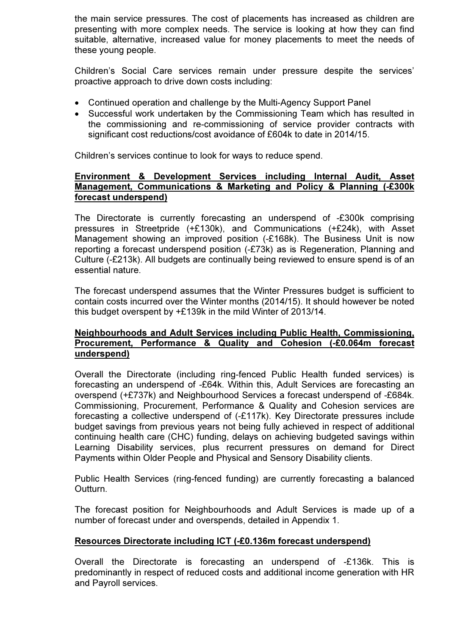the main service pressures. The cost of placements has increased as children are presenting with more complex needs. The service is looking at how they can find suitable, alternative, increased value for money placements to meet the needs of these young people.

Children's Social Care services remain under pressure despite the services' proactive approach to drive down costs including:

- Continued operation and challenge by the Multi-Agency Support Panel
- Successful work undertaken by the Commissioning Team which has resulted in the commissioning and re-commissioning of service provider contracts with significant cost reductions/cost avoidance of £604k to date in 2014/15.

Children's services continue to look for ways to reduce spend.

### Environment & Development Services including Internal Audit, Asset Management, Communications & Marketing and Policy & Planning (-£300k forecast underspend)

 The Directorate is currently forecasting an underspend of -£300k comprising pressures in Streetpride (+£130k), and Communications (+£24k), with Asset Management showing an improved position (-£168k). The Business Unit is now reporting a forecast underspend position (-£73k) as is Regeneration, Planning and Culture (-£213k). All budgets are continually being reviewed to ensure spend is of an essential nature.

The forecast underspend assumes that the Winter Pressures budget is sufficient to contain costs incurred over the Winter months (2014/15). It should however be noted this budget overspent by +£139k in the mild Winter of 2013/14.

### Neighbourhoods and Adult Services including Public Health, Commissioning, Procurement, Performance & Quality and Cohesion (-£0.064m forecast underspend)

Overall the Directorate (including ring-fenced Public Health funded services) is forecasting an underspend of -£64k. Within this, Adult Services are forecasting an overspend (+£737k) and Neighbourhood Services a forecast underspend of -£684k. Commissioning, Procurement, Performance & Quality and Cohesion services are forecasting a collective underspend of (-£117k). Key Directorate pressures include budget savings from previous years not being fully achieved in respect of additional continuing health care (CHC) funding, delays on achieving budgeted savings within Learning Disability services, plus recurrent pressures on demand for Direct Payments within Older People and Physical and Sensory Disability clients.

Public Health Services (ring-fenced funding) are currently forecasting a balanced Outturn.

The forecast position for Neighbourhoods and Adult Services is made up of a number of forecast under and overspends, detailed in Appendix 1.

### Resources Directorate including ICT (-£0.136m forecast underspend)

Overall the Directorate is forecasting an underspend of -£136k. This is predominantly in respect of reduced costs and additional income generation with HR and Payroll services.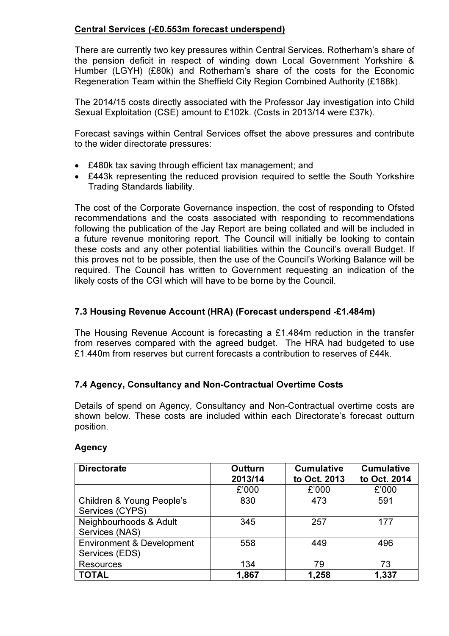# Central Services (-£0.553m forecast underspend)

There are currently two key pressures within Central Services. Rotherham's share of the pension deficit in respect of winding down Local Government Yorkshire & Humber (LGYH) (£80k) and Rotherham's share of the costs for the Economic Regeneration Team within the Sheffield City Region Combined Authority (£188k).

The 2014/15 costs directly associated with the Professor Jay investigation into Child Sexual Exploitation (CSE) amount to £102k. (Costs in 2013/14 were £37k).

Forecast savings within Central Services offset the above pressures and contribute to the wider directorate pressures:

- £480k tax saving through efficient tax management; and
- £443k representing the reduced provision required to settle the South Yorkshire Trading Standards liability.

The cost of the Corporate Governance inspection, the cost of responding to Ofsted recommendations and the costs associated with responding to recommendations following the publication of the Jay Report are being collated and will be included in a future revenue monitoring report. The Council will initially be looking to contain these costs and any other potential liabilities within the Council's overall Budget. If this proves not to be possible, then the use of the Council's Working Balance will be required. The Council has written to Government requesting an indication of the likely costs of the CGI which will have to be borne by the Council.

### 7.3 Housing Revenue Account (HRA) (Forecast underspend -£1.484m)

The Housing Revenue Account is forecasting a £1.484m reduction in the transfer from reserves compared with the agreed budget. The HRA had budgeted to use £1.440m from reserves but current forecasts a contribution to reserves of £44k.

# 7.4 Agency, Consultancy and Non-Contractual Overtime Costs

Details of spend on Agency, Consultancy and Non-Contractual overtime costs are shown below. These costs are included within each Directorate's forecast outturn position.

| <b>Directorate</b>                                     | Outturn<br>2013/14 | <b>Cumulative</b><br>to Oct. 2013 | <b>Cumulative</b><br>to Oct. 2014 |  |
|--------------------------------------------------------|--------------------|-----------------------------------|-----------------------------------|--|
|                                                        | £'000              | £'000                             | £'000                             |  |
| Children & Young People's<br>Services (CYPS)           | 830                | 473                               | 591                               |  |
| Neighbourhoods & Adult<br>Services (NAS)               | 345                | 257                               | 177                               |  |
| <b>Environment &amp; Development</b><br>Services (EDS) | 558                | 449                               | 496                               |  |
| <b>Resources</b>                                       | 134                | 79                                | 73                                |  |
| <b>TOTAL</b>                                           | 1,867              | 1,258                             | 1,337                             |  |

### Agency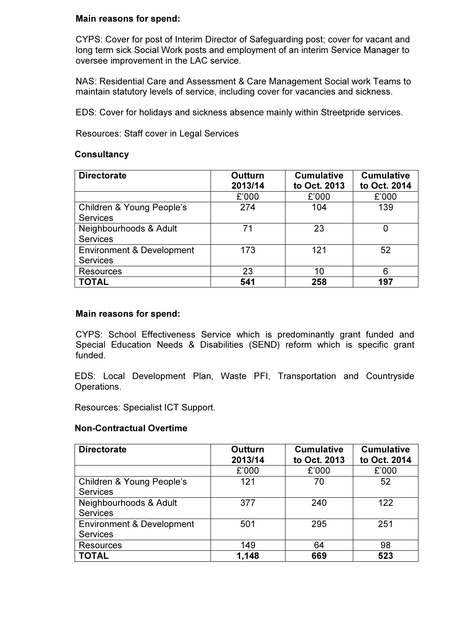### Main reasons for spend:

CYPS: Cover for post of Interim Director of Safeguarding post; cover for vacant and long term sick Social Work posts and employment of an interim Service Manager to oversee improvement in the LAC service.

NAS: Residential Care and Assessment & Care Management Social work Teams to maintain statutory levels of service, including cover for vacancies and sickness.

EDS: Cover for holidays and sickness absence mainly within Streetpride services.

Resources: Staff cover in Legal Services

#### **Consultancy**

| <b>Directorate</b>                                      | Outturn<br>2013/14 | <b>Cumulative</b><br>to Oct. 2013 | <b>Cumulative</b><br>to Oct. 2014 |
|---------------------------------------------------------|--------------------|-----------------------------------|-----------------------------------|
|                                                         | £'000              | £'000                             | £'000                             |
| Children & Young People's<br><b>Services</b>            | 274                | 104                               | 139                               |
| Neighbourhoods & Adult<br><b>Services</b>               | 71                 | 23                                | O                                 |
| <b>Environment &amp; Development</b><br><b>Services</b> | 173                | 121                               | 52                                |
| <b>Resources</b>                                        | 23                 | 10                                | 6                                 |
| <b>TOTAL</b>                                            | 541                | 258                               | 197                               |

#### Main reasons for spend:

CYPS: School Effectiveness Service which is predominantly grant funded and Special Education Needs & Disabilities (SEND) reform which is specific grant funded.

EDS: Local Development Plan, Waste PFI, Transportation and Countryside Operations.

Resources: Specialist ICT Support.

#### Non-Contractual Overtime

| <b>Directorate</b>                                      | Outturn<br>2013/14 | <b>Cumulative</b><br>to Oct. 2013 | <b>Cumulative</b><br>to Oct. 2014 |  |
|---------------------------------------------------------|--------------------|-----------------------------------|-----------------------------------|--|
|                                                         | £'000              | £'000                             | £'000                             |  |
| Children & Young People's<br><b>Services</b>            | 121                | 70                                | 52                                |  |
| Neighbourhoods & Adult<br><b>Services</b>               | 377                | 240                               | 122                               |  |
| <b>Environment &amp; Development</b><br><b>Services</b> | 501                | 295                               | 251                               |  |
| <b>Resources</b>                                        | 149                | 64                                | 98                                |  |
| <b>TOTAL</b>                                            | 1,148              | 669                               | 523                               |  |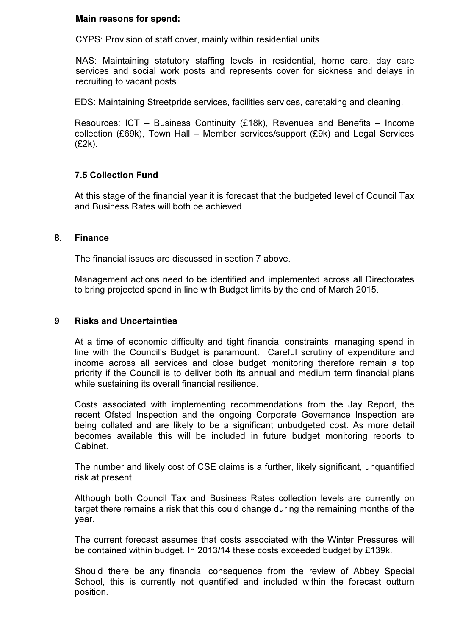#### Main reasons for spend:

CYPS: Provision of staff cover, mainly within residential units.

NAS: Maintaining statutory staffing levels in residential, home care, day care services and social work posts and represents cover for sickness and delays in recruiting to vacant posts.

EDS: Maintaining Streetpride services, facilities services, caretaking and cleaning.

Resources: ICT – Business Continuity (£18k), Revenues and Benefits – Income collection (£69k), Town Hall – Member services/support (£9k) and Legal Services (£2k).

### 7.5 Collection Fund

At this stage of the financial year it is forecast that the budgeted level of Council Tax and Business Rates will both be achieved.

#### 8. Finance

The financial issues are discussed in section 7 above.

Management actions need to be identified and implemented across all Directorates to bring projected spend in line with Budget limits by the end of March 2015.

#### 9 Risks and Uncertainties

At a time of economic difficulty and tight financial constraints, managing spend in line with the Council's Budget is paramount. Careful scrutiny of expenditure and income across all services and close budget monitoring therefore remain a top priority if the Council is to deliver both its annual and medium term financial plans while sustaining its overall financial resilience.

Costs associated with implementing recommendations from the Jay Report, the recent Ofsted Inspection and the ongoing Corporate Governance Inspection are being collated and are likely to be a significant unbudgeted cost. As more detail becomes available this will be included in future budget monitoring reports to Cabinet.

The number and likely cost of CSE claims is a further, likely significant, unquantified risk at present.

Although both Council Tax and Business Rates collection levels are currently on target there remains a risk that this could change during the remaining months of the year.

The current forecast assumes that costs associated with the Winter Pressures will be contained within budget. In 2013/14 these costs exceeded budget by £139k.

Should there be any financial consequence from the review of Abbey Special School, this is currently not quantified and included within the forecast outturn position.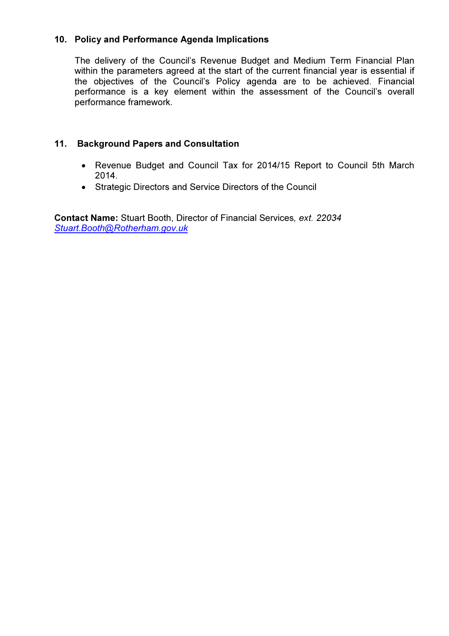### 10. Policy and Performance Agenda Implications

The delivery of the Council's Revenue Budget and Medium Term Financial Plan within the parameters agreed at the start of the current financial year is essential if the objectives of the Council's Policy agenda are to be achieved. Financial performance is a key element within the assessment of the Council's overall performance framework.

### 11. Background Papers and Consultation

- Revenue Budget and Council Tax for 2014/15 Report to Council 5th March 2014.
- Strategic Directors and Service Directors of the Council

Contact Name: Stuart Booth, Director of Financial Services, ext. 22034 Stuart.Booth@Rotherham.gov.uk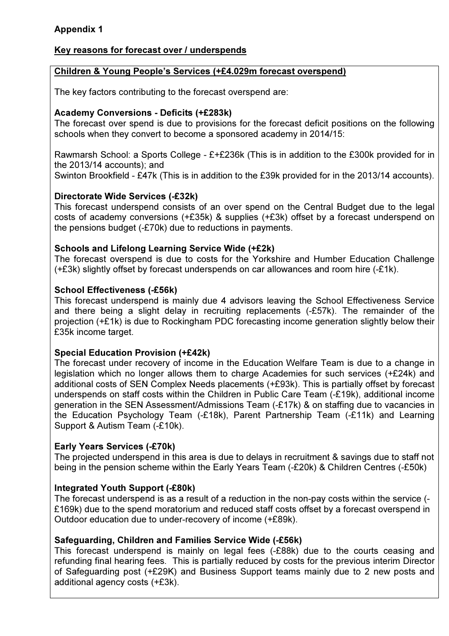# Appendix 1

### Key reasons for forecast over / underspends

### Children & Young People's Services (+£4.029m forecast overspend)

The key factors contributing to the forecast overspend are:

### Academy Conversions - Deficits (+£283k)

The forecast over spend is due to provisions for the forecast deficit positions on the following schools when they convert to become a sponsored academy in 2014/15:

Rawmarsh School: a Sports College - £+£236k (This is in addition to the £300k provided for in the 2013/14 accounts); and

Swinton Brookfield - £47k (This is in addition to the £39k provided for in the 2013/14 accounts).

### Directorate Wide Services (-£32k)

This forecast underspend consists of an over spend on the Central Budget due to the legal costs of academy conversions (+£35k) & supplies (+£3k) offset by a forecast underspend on the pensions budget (-£70k) due to reductions in payments.

### Schools and Lifelong Learning Service Wide (+£2k)

The forecast overspend is due to costs for the Yorkshire and Humber Education Challenge (+£3k) slightly offset by forecast underspends on car allowances and room hire (-£1k).

### School Effectiveness (-£56k)

This forecast underspend is mainly due 4 advisors leaving the School Effectiveness Service and there being a slight delay in recruiting replacements (-£57k). The remainder of the projection (+£1k) is due to Rockingham PDC forecasting income generation slightly below their £35k income target.

### Special Education Provision (+£42k)

The forecast under recovery of income in the Education Welfare Team is due to a change in legislation which no longer allows them to charge Academies for such services (+£24k) and additional costs of SEN Complex Needs placements (+£93k). This is partially offset by forecast underspends on staff costs within the Children in Public Care Team (-£19k), additional income generation in the SEN Assessment/Admissions Team (-£17k) & on staffing due to vacancies in the Education Psychology Team (-£18k), Parent Partnership Team (-£11k) and Learning Support & Autism Team (-£10k).

### Early Years Services (-£70k)

The projected underspend in this area is due to delays in recruitment & savings due to staff not being in the pension scheme within the Early Years Team (-£20k) & Children Centres (-£50k)

### Integrated Youth Support (-£80k)

The forecast underspend is as a result of a reduction in the non-pay costs within the service (- £169k) due to the spend moratorium and reduced staff costs offset by a forecast overspend in Outdoor education due to under-recovery of income (+£89k).

### Safeguarding, Children and Families Service Wide (-£56k)

This forecast underspend is mainly on legal fees (-£88k) due to the courts ceasing and refunding final hearing fees. This is partially reduced by costs for the previous interim Director of Safeguarding post (+£29K) and Business Support teams mainly due to 2 new posts and additional agency costs (+£3k).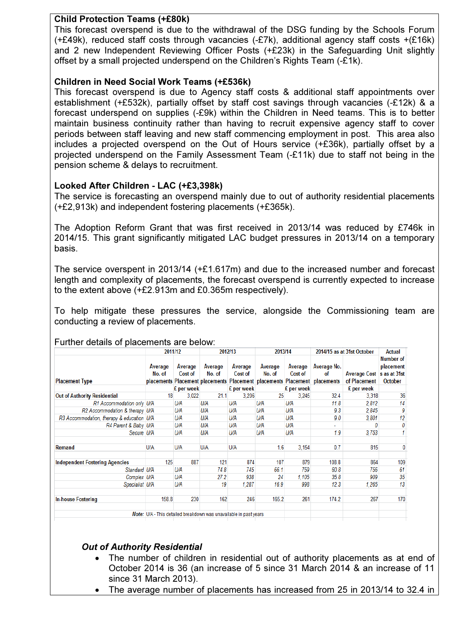### Child Protection Teams (+£80k)

This forecast overspend is due to the withdrawal of the DSG funding by the Schools Forum (+£49k), reduced staff costs through vacancies (-£7k), additional agency staff costs +(£16k) and 2 new Independent Reviewing Officer Posts (+£23k) in the Safeguarding Unit slightly offset by a small projected underspend on the Children's Rights Team (-£1k).

### Children in Need Social Work Teams (+£536k)

This forecast overspend is due to Agency staff costs & additional staff appointments over establishment (+£532k), partially offset by staff cost savings through vacancies (-£12k) & a forecast underspend on supplies (-£9k) within the Children in Need teams. This is to better maintain business continuity rather than having to recruit expensive agency staff to cover periods between staff leaving and new staff commencing employment in post. This area also includes a projected overspend on the Out of Hours service (+£36k), partially offset by a projected underspend on the Family Assessment Team (-£11k) due to staff not being in the pension scheme & delays to recruitment.

### Looked After Children - LAC (+£3,398k)

The service is forecasting an overspend mainly due to out of authority residential placements (+£2,913k) and independent fostering placements (+£365k).

The Adoption Reform Grant that was first received in 2013/14 was reduced by £746k in 2014/15. This grant significantly mitigated LAC budget pressures in 2013/14 on a temporary basis.

The service overspent in 2013/14 (+£1.617m) and due to the increased number and forecast length and complexity of placements, the forecast overspend is currently expected to increase to the extent above (+£2.913m and £0.365m respectively).

To help mitigate these pressures the service, alongside the Commissioning team are conducting a review of placements.

|                                           | 2011/12                                                           |                    | 2012/13           |                    | 2013/14           |                    | 2014/15 as at 31st October                                                                     |                                           | Actual                                   |
|-------------------------------------------|-------------------------------------------------------------------|--------------------|-------------------|--------------------|-------------------|--------------------|------------------------------------------------------------------------------------------------|-------------------------------------------|------------------------------------------|
| <b>Placement Type</b>                     | Average<br>No. of                                                 | Average<br>Cost of | Average<br>No. of | Average<br>Cost of | Average<br>No. of | Average<br>Cost of | Average No.<br>of<br>placements Placement placements Placement placements Placement placements | Average Cost s as at 31st<br>of Placement | <b>Number of</b><br>placement<br>October |
|                                           |                                                                   | £ per week         |                   | £ per week         |                   | £ per week         |                                                                                                | £ per week                                |                                          |
| <b>Out of Authority Residential</b>       | 18                                                                | 3.022              | 21.1              | 3.206              | 25                | 3.245              | 32.4                                                                                           | 3.318                                     | 36                                       |
| R1 Accommodation only U/A                 |                                                                   | U/A                | U/A               | U/A                | U/A               | U/A                | 11.8                                                                                           | 2,812                                     | 14                                       |
| R2 Accommodation & therapy U/A            |                                                                   | U/A                | U/A               | U/A                | U/A               | U/A                | 9.3                                                                                            | 2.845                                     | 9                                        |
| R3 Accommodation, therapy & education U/A |                                                                   | U/A                | U/A               | U/A                | U/A               | U/A                | 9.0                                                                                            | 3.801                                     | 12                                       |
| R4 Parent & Baby U/A                      |                                                                   | U/A                | U/A               | U/A                | U/A               | U/A                | ٠                                                                                              | 0                                         | 0                                        |
| Secure U/A                                |                                                                   | U/A                | U/A               | U/A                | U/A               | U/A                | 1.9                                                                                            | 3,753                                     |                                          |
| Remand                                    | U/A                                                               | U/A                | U/A               | <b>U/A</b>         | 1.6               | 3,154              | 0.7                                                                                            | 815                                       | 0                                        |
| <b>Independent Fostering Agencies</b>     | 125                                                               | 887                | 121               | 874                | 107               | 879                | 108.8                                                                                          | 864                                       | 109                                      |
| Standard U/A                              |                                                                   | U/A                | 74.8              | 745                | 66.1              | 759                | 60.8                                                                                           | 756                                       | 61                                       |
| Complex U/A                               |                                                                   | U/A                | 27.2              | 938                | 24                | 1,105              | 35.8                                                                                           | 909                                       | 35                                       |
| Specialist U/A                            |                                                                   | U/A                | 19                | 1.287              | 16.9              | 998                | 12.3                                                                                           | 1,265                                     | 13                                       |
| <b>In-house Fostering</b>                 | 158.8                                                             | 230                | 162               | 246                | 165.2             | 261                | 174.2                                                                                          | 267                                       | 170                                      |
|                                           | Note: U/A - This detailed breakdown was unavailable in past years |                    |                   |                    |                   |                    |                                                                                                |                                           |                                          |

### Further details of placements are below:

### Out of Authority Residential

- The number of children in residential out of authority placements as at end of October 2014 is 36 (an increase of 5 since 31 March 2014 & an increase of 11 since 31 March 2013).
- The average number of placements has increased from 25 in 2013/14 to 32.4 in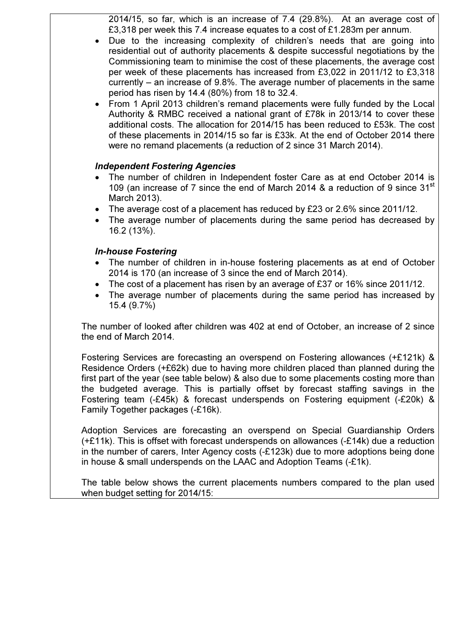2014/15, so far, which is an increase of 7.4 (29.8%). At an average cost of £3,318 per week this 7.4 increase equates to a cost of £1.283m per annum.

- Due to the increasing complexity of children's needs that are going into residential out of authority placements & despite successful negotiations by the Commissioning team to minimise the cost of these placements, the average cost per week of these placements has increased from £3,022 in 2011/12 to £3,318 currently – an increase of 9.8%. The average number of placements in the same period has risen by 14.4 (80%) from 18 to 32.4.
- From 1 April 2013 children's remand placements were fully funded by the Local Authority & RMBC received a national grant of £78k in 2013/14 to cover these additional costs. The allocation for 2014/15 has been reduced to £53k. The cost of these placements in 2014/15 so far is £33k. At the end of October 2014 there were no remand placements (a reduction of 2 since 31 March 2014).

### Independent Fostering Agencies

- The number of children in Independent foster Care as at end October 2014 is 109 (an increase of 7 since the end of March 2014 & a reduction of 9 since  $31<sup>st</sup>$ March 2013).
- The average cost of a placement has reduced by £23 or 2.6% since 2011/12.
- The average number of placements during the same period has decreased by 16.2 (13%).

### In-house Fostering

- The number of children in in-house fostering placements as at end of October 2014 is 170 (an increase of 3 since the end of March 2014).
- The cost of a placement has risen by an average of £37 or 16% since 2011/12.
- The average number of placements during the same period has increased by 15.4 (9.7%)

The number of looked after children was 402 at end of October, an increase of 2 since the end of March 2014.

Fostering Services are forecasting an overspend on Fostering allowances (+£121k) & Residence Orders (+£62k) due to having more children placed than planned during the first part of the year (see table below) & also due to some placements costing more than the budgeted average. This is partially offset by forecast staffing savings in the Fostering team (-£45k) & forecast underspends on Fostering equipment (-£20k) & Family Together packages (-£16k).

Adoption Services are forecasting an overspend on Special Guardianship Orders (+£11k). This is offset with forecast underspends on allowances (-£14k) due a reduction in the number of carers, Inter Agency costs (-£123k) due to more adoptions being done in house & small underspends on the LAAC and Adoption Teams (-£1k).

The table below shows the current placements numbers compared to the plan used when budget setting for 2014/15: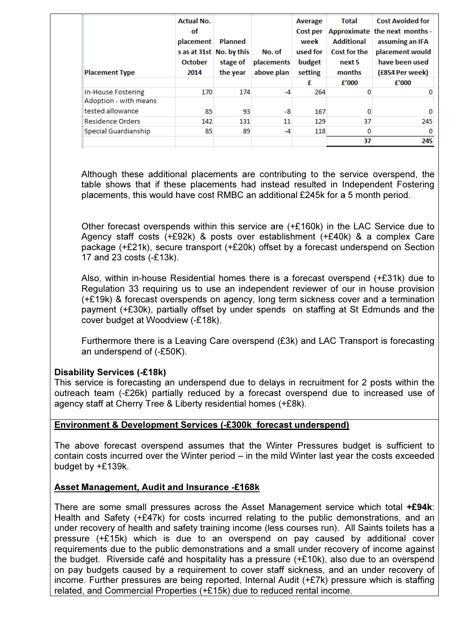| <b>Placement Type</b>                     | <b>Actual No.</b><br>οf<br>placement<br><b>October</b><br>2014 | <b>Planned</b><br>s as at 31st No. by this<br>stage of<br>the year | No. of<br>placements<br>above plan | Average<br>Cost per<br>week<br>used for<br>budget<br>setting<br>£ | <b>Total</b><br><b>Additional</b><br><b>Cost for the</b><br>next 5<br>months<br>f'000 | <b>Cost Avoided for</b><br>Approximate the next months -<br>assuming an IFA<br>placement would<br>have been used<br>(£854 Per week)<br>f'000 |
|-------------------------------------------|----------------------------------------------------------------|--------------------------------------------------------------------|------------------------------------|-------------------------------------------------------------------|---------------------------------------------------------------------------------------|----------------------------------------------------------------------------------------------------------------------------------------------|
| <b>In-House Fostering</b>                 | 170                                                            | 174                                                                | $-4$                               | 264                                                               | o                                                                                     |                                                                                                                                              |
| Adoption - with means<br>tested allowance | 85                                                             | 93                                                                 | -8                                 | 167                                                               | o                                                                                     | n                                                                                                                                            |
| <b>Residence Orders</b>                   | 142                                                            | 131                                                                | 11                                 | 129                                                               | 37                                                                                    | 245                                                                                                                                          |
| Special Guardianship                      | 85                                                             | 89                                                                 | $-4$                               | 118                                                               | 0                                                                                     | 0                                                                                                                                            |
|                                           |                                                                |                                                                    |                                    |                                                                   | 37                                                                                    | 245                                                                                                                                          |

Although these additional placements are contributing to the service overspend, the table shows that if these placements had instead resulted in Independent Fostering placements, this would have cost RMBC an additional £245k for a 5 month period.

Other forecast overspends within this service are (+£160k) in the LAC Service due to Agency staff costs (+£92k) & posts over establishment (+£40k) & a complex Care package (+£21k), secure transport (+£20k) offset by a forecast underspend on Section 17 and 23 costs (-£13k).

Also, within in-house Residential homes there is a forecast overspend (+£31k) due to Regulation 33 requiring us to use an independent reviewer of our in house provision (+£19k) & forecast overspends on agency, long term sickness cover and a termination payment (+£30k), partially offset by under spends on staffing at St Edmunds and the cover budget at Woodview (-£18k).

Furthermore there is a Leaving Care overspend (£3k) and LAC Transport is forecasting an underspend of (-£50K).

# Disability Services (-£18k)

This service is forecasting an underspend due to delays in recruitment for 2 posts within the outreach team (-£26k) partially reduced by a forecast overspend due to increased use of agency staff at Cherry Tree & Liberty residential homes (+£8k).

### Environment & Development Services (-£300k forecast underspend)

The above forecast overspend assumes that the Winter Pressures budget is sufficient to contain costs incurred over the Winter period – in the mild Winter last year the costs exceeded budget by +£139k.

# Asset Management, Audit and Insurance -£168k

There are some small pressures across the Asset Management service which total +£94k: Health and Safety (+£47k) for costs incurred relating to the public demonstrations, and an under recovery of health and safety training income (less courses run). All Saints toilets has a pressure (+£15k) which is due to an overspend on pay caused by additional cover requirements due to the public demonstrations and a small under recovery of income against the budget. Riverside café and hospitality has a pressure (+£10k), also due to an overspend on pay budgets caused by a requirement to cover staff sickness, and an under recovery of income. Further pressures are being reported, Internal Audit (+£7k) pressure which is staffing related, and Commercial Properties (+£15k) due to reduced rental income.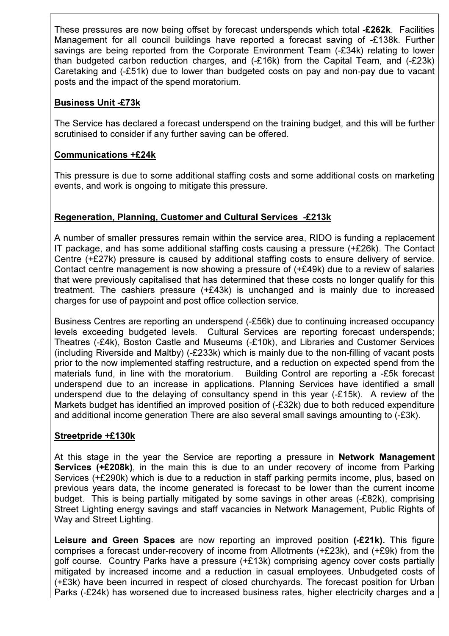These pressures are now being offset by forecast underspends which total -£262k. Facilities Management for all council buildings have reported a forecast saving of -£138k. Further savings are being reported from the Corporate Environment Team (-£34k) relating to lower than budgeted carbon reduction charges, and (-£16k) from the Capital Team, and (-£23k) Caretaking and (-£51k) due to lower than budgeted costs on pay and non-pay due to vacant posts and the impact of the spend moratorium.

# Business Unit -£73k

The Service has declared a forecast underspend on the training budget, and this will be further scrutinised to consider if any further saving can be offered.

# Communications +£24k

This pressure is due to some additional staffing costs and some additional costs on marketing events, and work is ongoing to mitigate this pressure.

# Regeneration, Planning, Customer and Cultural Services -£213k

A number of smaller pressures remain within the service area, RIDO is funding a replacement IT package, and has some additional staffing costs causing a pressure (+£26k). The Contact Centre (+£27k) pressure is caused by additional staffing costs to ensure delivery of service. Contact centre management is now showing a pressure of (+£49k) due to a review of salaries that were previously capitalised that has determined that these costs no longer qualify for this treatment. The cashiers pressure (+£43k) is unchanged and is mainly due to increased charges for use of paypoint and post office collection service.

Business Centres are reporting an underspend (-£56k) due to continuing increased occupancy levels exceeding budgeted levels. Cultural Services are reporting forecast underspends; Theatres (-£4k), Boston Castle and Museums (-£10k), and Libraries and Customer Services (including Riverside and Maltby) (-£233k) which is mainly due to the non-filling of vacant posts prior to the now implemented staffing restructure, and a reduction on expected spend from the materials fund, in line with the moratorium. Building Control are reporting a -£5k forecast underspend due to an increase in applications. Planning Services have identified a small underspend due to the delaying of consultancy spend in this year (-£15k). A review of the Markets budget has identified an improved position of (-£32k) due to both reduced expenditure and additional income generation There are also several small savings amounting to (-£3k).

# Streetpride +£130k

At this stage in the year the Service are reporting a pressure in Network Management Services (+£208k), in the main this is due to an under recovery of income from Parking Services (+£290k) which is due to a reduction in staff parking permits income, plus, based on previous years data, the income generated is forecast to be lower than the current income budget. This is being partially mitigated by some savings in other areas (-£82k), comprising Street Lighting energy savings and staff vacancies in Network Management, Public Rights of Way and Street Lighting.

Leisure and Green Spaces are now reporting an improved position (-£21k). This figure comprises a forecast under-recovery of income from Allotments (+£23k), and (+£9k) from the golf course. Country Parks have a pressure (+£13k) comprising agency cover costs partially mitigated by increased income and a reduction in casual employees. Unbudgeted costs of (+£3k) have been incurred in respect of closed churchyards. The forecast position for Urban Parks (-£24k) has worsened due to increased business rates, higher electricity charges and a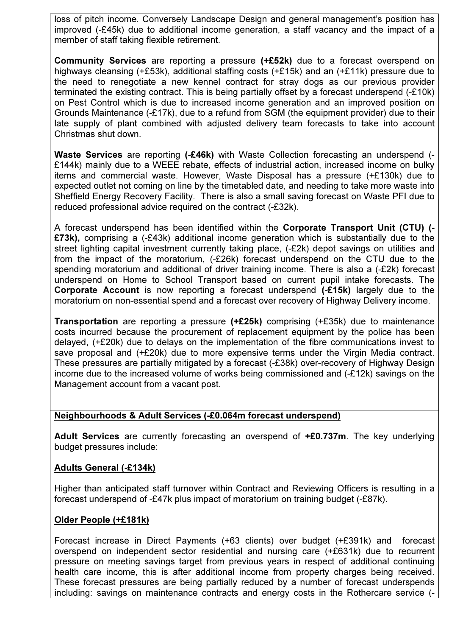loss of pitch income. Conversely Landscape Design and general management's position has improved (-£45k) due to additional income generation, a staff vacancy and the impact of a member of staff taking flexible retirement.

Community Services are reporting a pressure (+£52k) due to a forecast overspend on highways cleansing (+£53k), additional staffing costs (+£15k) and an (+£11k) pressure due to the need to renegotiate a new kennel contract for stray dogs as our previous provider terminated the existing contract. This is being partially offset by a forecast underspend (-£10k) on Pest Control which is due to increased income generation and an improved position on Grounds Maintenance (-£17k), due to a refund from SGM (the equipment provider) due to their late supply of plant combined with adjusted delivery team forecasts to take into account Christmas shut down.

Waste Services are reporting (-£46k) with Waste Collection forecasting an underspend (-£144k) mainly due to a WEEE rebate, effects of industrial action, increased income on bulky items and commercial waste. However, Waste Disposal has a pressure (+£130k) due to expected outlet not coming on line by the timetabled date, and needing to take more waste into Sheffield Energy Recovery Facility. There is also a small saving forecast on Waste PFI due to reduced professional advice required on the contract (-£32k).

A forecast underspend has been identified within the Corporate Transport Unit (CTU) (- £73k), comprising a (-£43k) additional income generation which is substantially due to the street lighting capital investment currently taking place, (-£2k) depot savings on utilities and from the impact of the moratorium, (-£26k) forecast underspend on the CTU due to the spending moratorium and additional of driver training income. There is also a (-£2k) forecast underspend on Home to School Transport based on current pupil intake forecasts. The Corporate Account is now reporting a forecast underspend (-£15k) largely due to the moratorium on non-essential spend and a forecast over recovery of Highway Delivery income.

Transportation are reporting a pressure (+£25k) comprising (+£35k) due to maintenance costs incurred because the procurement of replacement equipment by the police has been delayed, (+£20k) due to delays on the implementation of the fibre communications invest to save proposal and (+£20k) due to more expensive terms under the Virgin Media contract. These pressures are partially mitigated by a forecast (-£38k) over-recovery of Highway Design income due to the increased volume of works being commissioned and (-£12k) savings on the Management account from a vacant post.

### Neighbourhoods & Adult Services (-£0.064m forecast underspend)

Adult Services are currently forecasting an overspend of +£0.737m. The key underlying budget pressures include:

### Adults General (-£134k)

Higher than anticipated staff turnover within Contract and Reviewing Officers is resulting in a forecast underspend of -£47k plus impact of moratorium on training budget (-£87k).

### Older People (+£181k)

Forecast increase in Direct Payments (+63 clients) over budget (+£391k) and forecast overspend on independent sector residential and nursing care (+£631k) due to recurrent pressure on meeting savings target from previous years in respect of additional continuing health care income, this is after additional income from property charges being received. These forecast pressures are being partially reduced by a number of forecast underspends including: savings on maintenance contracts and energy costs in the Rothercare service (-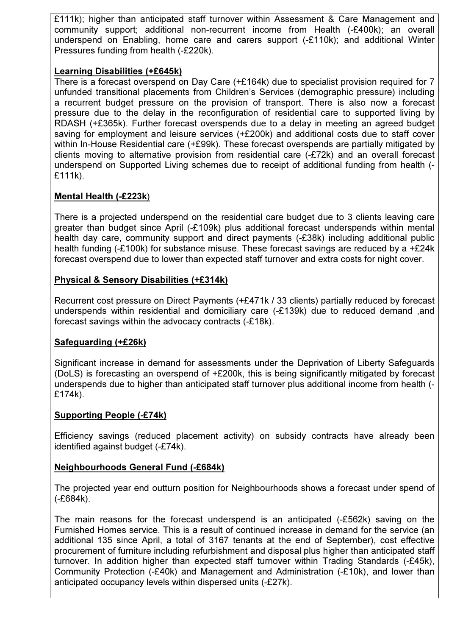£111k); higher than anticipated staff turnover within Assessment & Care Management and community support; additional non-recurrent income from Health (-£400k); an overall underspend on Enabling, home care and carers support (-£110k); and additional Winter Pressures funding from health (-£220k).

### Learning Disabilities (+£645k)

There is a forecast overspend on Day Care (+£164k) due to specialist provision required for 7 unfunded transitional placements from Children's Services (demographic pressure) including a recurrent budget pressure on the provision of transport. There is also now a forecast pressure due to the delay in the reconfiguration of residential care to supported living by RDASH (+£365k). Further forecast overspends due to a delay in meeting an agreed budget saving for employment and leisure services (+£200k) and additional costs due to staff cover within In-House Residential care (+£99k). These forecast overspends are partially mitigated by clients moving to alternative provision from residential care (-£72k) and an overall forecast underspend on Supported Living schemes due to receipt of additional funding from health (- £111k).

# Mental Health (-£223k)

There is a projected underspend on the residential care budget due to 3 clients leaving care greater than budget since April (-£109k) plus additional forecast underspends within mental health day care, community support and direct payments (-£38k) including additional public health funding (-£100k) for substance misuse. These forecast savings are reduced by a +£24k forecast overspend due to lower than expected staff turnover and extra costs for night cover.

# Physical & Sensory Disabilities (+£314k)

Recurrent cost pressure on Direct Payments (+£471k / 33 clients) partially reduced by forecast underspends within residential and domiciliary care (-£139k) due to reduced demand ,and forecast savings within the advocacy contracts (-£18k).

# Safeguarding (+£26k)

Significant increase in demand for assessments under the Deprivation of Liberty Safeguards (DoLS) is forecasting an overspend of +£200k, this is being significantly mitigated by forecast underspends due to higher than anticipated staff turnover plus additional income from health (- £174k).

# Supporting People (-£74k)

Efficiency savings (reduced placement activity) on subsidy contracts have already been identified against budget (-£74k).

# Neighbourhoods General Fund (-£684k)

The projected year end outturn position for Neighbourhoods shows a forecast under spend of (-£684k).

The main reasons for the forecast underspend is an anticipated (-£562k) saving on the Furnished Homes service. This is a result of continued increase in demand for the service (an additional 135 since April, a total of 3167 tenants at the end of September), cost effective procurement of furniture including refurbishment and disposal plus higher than anticipated staff turnover. In addition higher than expected staff turnover within Trading Standards (-£45k), Community Protection (-£40k) and Management and Administration (-£10k), and lower than anticipated occupancy levels within dispersed units (-£27k).